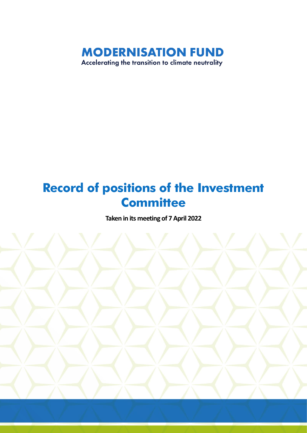

## **Record of positions of the Investment Committee**

**Taken in its meeting of 7April 2022**